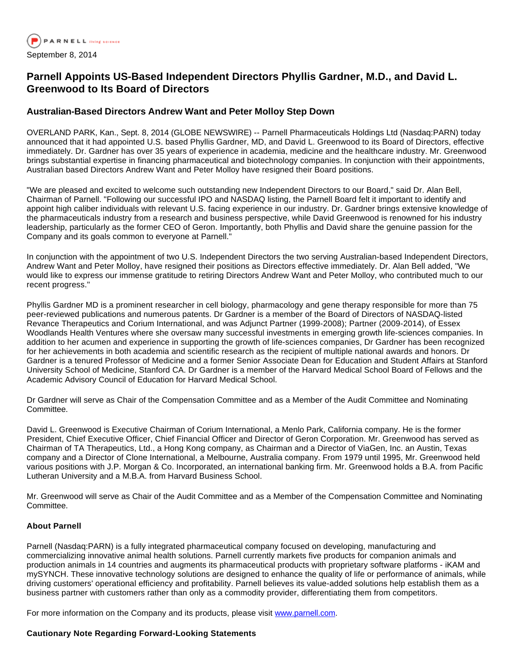

## **Parnell Appoints US-Based Independent Directors Phyllis Gardner, M.D., and David L. Greenwood to Its Board of Directors**

## **Australian-Based Directors Andrew Want and Peter Molloy Step Down**

OVERLAND PARK, Kan., Sept. 8, 2014 (GLOBE NEWSWIRE) -- Parnell Pharmaceuticals Holdings Ltd (Nasdaq:PARN) today announced that it had appointed U.S. based Phyllis Gardner, MD, and David L. Greenwood to its Board of Directors, effective immediately. Dr. Gardner has over 35 years of experience in academia, medicine and the healthcare industry. Mr. Greenwood brings substantial expertise in financing pharmaceutical and biotechnology companies. In conjunction with their appointments, Australian based Directors Andrew Want and Peter Molloy have resigned their Board positions.

"We are pleased and excited to welcome such outstanding new Independent Directors to our Board," said Dr. Alan Bell, Chairman of Parnell. "Following our successful IPO and NASDAQ listing, the Parnell Board felt it important to identify and appoint high caliber individuals with relevant U.S. facing experience in our industry. Dr. Gardner brings extensive knowledge of the pharmaceuticals industry from a research and business perspective, while David Greenwood is renowned for his industry leadership, particularly as the former CEO of Geron. Importantly, both Phyllis and David share the genuine passion for the Company and its goals common to everyone at Parnell."

In conjunction with the appointment of two U.S. Independent Directors the two serving Australian-based Independent Directors, Andrew Want and Peter Molloy, have resigned their positions as Directors effective immediately. Dr. Alan Bell added, "We would like to express our immense gratitude to retiring Directors Andrew Want and Peter Molloy, who contributed much to our recent progress."

Phyllis Gardner MD is a prominent researcher in cell biology, pharmacology and gene therapy responsible for more than 75 peer-reviewed publications and numerous patents. Dr Gardner is a member of the Board of Directors of NASDAQ-listed Revance Therapeutics and Corium International, and was Adjunct Partner (1999-2008); Partner (2009-2014), of Essex Woodlands Health Ventures where she oversaw many successful investments in emerging growth life-sciences companies. In addition to her acumen and experience in supporting the growth of life-sciences companies, Dr Gardner has been recognized for her achievements in both academia and scientific research as the recipient of multiple national awards and honors. Dr Gardner is a tenured Professor of Medicine and a former Senior Associate Dean for Education and Student Affairs at Stanford University School of Medicine, Stanford CA. Dr Gardner is a member of the Harvard Medical School Board of Fellows and the Academic Advisory Council of Education for Harvard Medical School.

Dr Gardner will serve as Chair of the Compensation Committee and as a Member of the Audit Committee and Nominating Committee.

David L. Greenwood is Executive Chairman of Corium International, a Menlo Park, California company. He is the former President, Chief Executive Officer, Chief Financial Officer and Director of Geron Corporation. Mr. Greenwood has served as Chairman of TA Therapeutics, Ltd., a Hong Kong company, as Chairman and a Director of ViaGen, Inc. an Austin, Texas company and a Director of Clone International, a Melbourne, Australia company. From 1979 until 1995, Mr. Greenwood held various positions with J.P. Morgan & Co. Incorporated, an international banking firm. Mr. Greenwood holds a B.A. from Pacific Lutheran University and a M.B.A. from Harvard Business School.

Mr. Greenwood will serve as Chair of the Audit Committee and as a Member of the Compensation Committee and Nominating Committee.

## **About Parnell**

Parnell (Nasdaq:PARN) is a fully integrated pharmaceutical company focused on developing, manufacturing and commercializing innovative animal health solutions. Parnell currently markets five products for companion animals and production animals in 14 countries and augments its pharmaceutical products with proprietary software platforms - iKAM and mySYNCH. These innovative technology solutions are designed to enhance the quality of life or performance of animals, while driving customers' operational efficiency and profitability. Parnell believes its value-added solutions help establish them as a business partner with customers rather than only as a commodity provider, differentiating them from competitors.

For more information on the Company and its products, please visit [www.parnell.com](http://www.parnell.com/).

## **Cautionary Note Regarding Forward-Looking Statements**